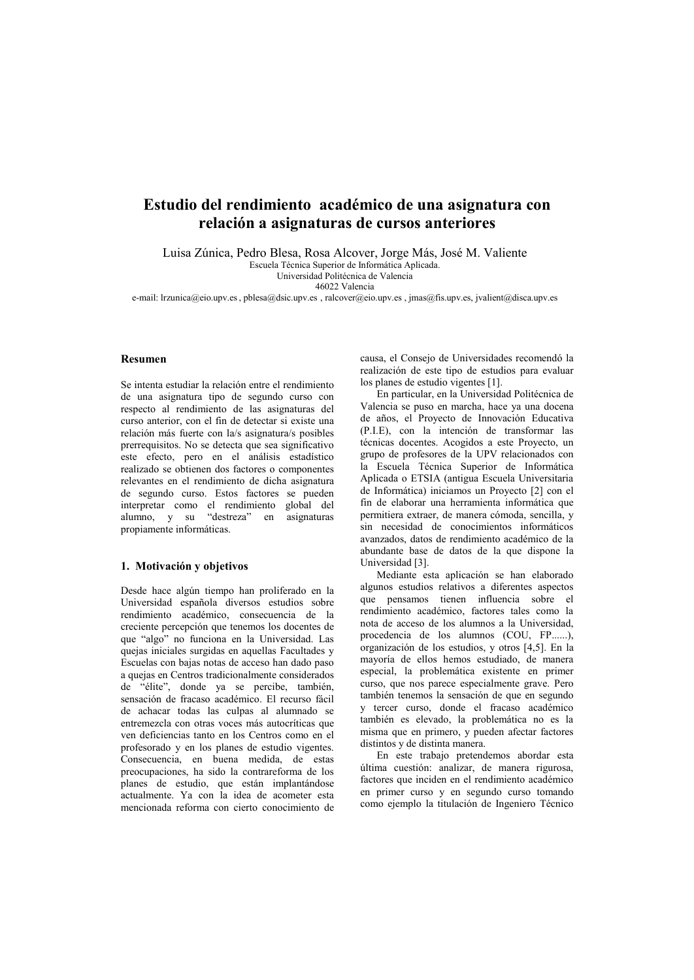# Estudio del rendimiento académico de una asignatura con relación a asignaturas de cursos anteriores

Luisa Zúnica, Pedro Blesa, Rosa Alcover, Jorge Más, José M. Valiente Escuela Técnica Superior de Informática Aplicada.

Universidad Politécnica de Valencia 46022 Valencia

e-mail: Irzunica@eio.upy.es. pblesa@dsic.upy.es. ralcover@eio.upy.es. imas@fis.upy.es. ivalient@disca.upy.es

### Resumen

Se intenta estudiar la relación entre el rendimiento de una asignatura tipo de segundo curso con respecto al rendimiento de las asignaturas del curso anterior, con el fin de detectar si existe una relación más fuerte con la/s asignatura/s posibles prerrequisitos. No se detecta que sea significativo este efecto, pero en el análisis estadístico realizado se obtienen dos factores o componentes relevantes en el rendimiento de dicha asignatura de segundo curso. Estos factores se pueden interpretar como el rendimiento global del alumno, y su "destreza" en asignaturas propiamente informáticas.

### 1. Motivación y objetivos

Desde hace algún tiempo han proliferado en la Universidad española diversos estudios sobre rendimiento académico, consecuencia de la creciente percepción que tenemos los docentes de que "algo" no funciona en la Universidad. Las queias iniciales surgidas en aquellas Facultades y Escuelas con bajas notas de acceso han dado paso a quejas en Centros tradicionalmente considerados de "élite", donde ya se percibe, también, sensación de fracaso académico. El recurso fácil de achacar todas las culpas al alumnado se entremezcla con otras voces más autocríticas que ven deficiencias tanto en los Centros como en el profesorado y en los planes de estudio vigentes. Consecuencia, en buena medida, de estas preocupaciones, ha sido la contrareforma de los planes de estudio, que están implantándose actualmente. Ya con la idea de acometer esta mencionada reforma con cierto conocimiento de causa, el Consejo de Universidades recomendó la realización de este tipo de estudios para evaluar los planes de estudio vigentes [1].

En particular, en la Universidad Politécnica de Valencia se puso en marcha, hace ya una docena de años, el Provecto de Innovación Educativa (P.I.E), con la intención de transformar las técnicas docentes. Acogidos a este Proyecto, un grupo de profesores de la UPV relacionados con la Escuela Técnica Superior de Informática Aplicada o ETSIA (antigua Escuela Universitaria de Informática) iniciamos un Proyecto [2] con el fin de elaborar una herramienta informática que permitiera extraer, de manera cómoda, sencilla, y sin necesidad de conocimientos informáticos avanzados, datos de rendimiento académico de la abundante base de datos de la que dispone la Universidad [3].

Mediante esta aplicación se han elaborado algunos estudios relativos a diferentes aspectos que pensamos tienen influencia sobre el rendimiento académico, factores tales como la nota de acceso de los alumnos a la Universidad. procedencia de los alumnos (COU, FP......), organización de los estudios, y otros [4,5]. En la mayoría de ellos hemos estudiado, de manera especial, la problemática existente en primer curso, que nos parece especialmente grave. Pero también tenemos la sensación de que en segundo y tercer curso, donde el fracaso académico también es elevado, la problemática no es la misma que en primero, y pueden afectar factores distintos y de distinta manera.

En este trabajo pretendemos abordar esta última cuestión: analizar, de manera rigurosa, factores que inciden en el rendimiento académico en primer curso y en segundo curso tomando como ejemplo la titulación de Ingeniero Técnico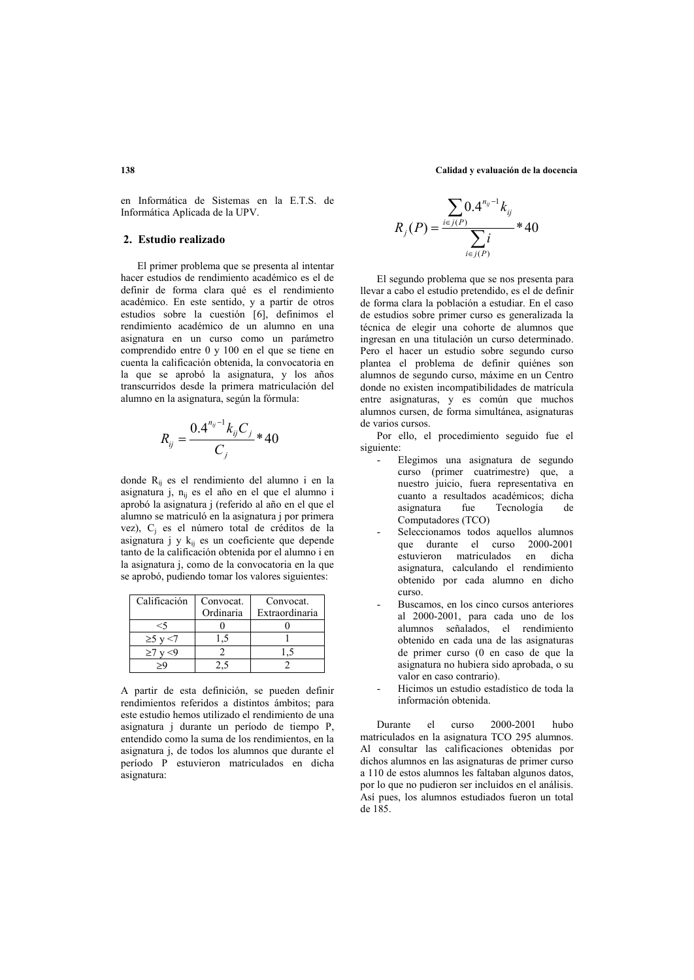en Informática de Sistemas en la E.T.S. de Informática Aplicada de la UPV.

# 2 Estudio realizado

El primer problema que se presenta al intentar hacer estudios de rendimiento académico es el de definir de forma clara qué es el rendimiento académico. En este sentido, y a partir de otros estudios sobre la cuestión [6], definimos el rendimiento académico de un alumno en una asignatura en un curso como un parámetro comprendido entre 0 y 100 en el que se tiene en cuenta la calificación obtenida, la convocatoria en la que se aprobó la asignatura, y los años transcurridos desde la primera matriculación del alumno en la asignatura, según la fórmula:

$$
R_{ij} = \frac{0.4^{n_{ij}-1}k_{ij}C_j}{C_i} * 40
$$

donde R<sub>ii</sub> es el rendimiento del alumno i en la asignatura j, n<sub>ij</sub> es el año en el que el alumno i aprobó la asignatura j (referido al año en el que el alumno se matriculó en la asignatura i por primera vez), C<sub>i</sub> es el número total de créditos de la asignatura j y  $k_{ii}$  es un coeficiente que depende tanto de la calificación obtenida por el alumno i en la asignatura j, como de la convocatoria en la que se aprobó, pudiendo tomar los valores siguientes:

| Calificación | Convocat. | Convocat.      |  |
|--------------|-----------|----------------|--|
|              | Ordinaria | Extraordinaria |  |
| <5           |           |                |  |
| $\geq$ 5 v   |           |                |  |
| >7           |           |                |  |
|              |           |                |  |

A partir de esta definición, se pueden definir rendimientos referidos a distintos ámbitos; para este estudio hemos utilizado el rendimiento de una asignatura j durante un período de tiempo P, entendido como la suma de los rendimientos, en la asignatura j, de todos los alumnos que durante el período P estuvieron matriculados en dicha asignatura:

$$
R_j(P) = \frac{\sum_{i \in j(P)} 0.4^{n_{ij} - 1} k_{ij}}{\sum_{i \in j(P)} i} * 40
$$

El segundo problema que se nos presenta para llevar a cabo el estudio pretendido, es el de definir de forma clara la población a estudiar. En el caso de estudios sobre primer curso es generalizada la técnica de elegir una cohorte de alumnos que ingresan en una titulación un curso determinado. Pero el hacer un estudio sobre segundo curso plantea el problema de definir quiénes son alumnos de segundo curso, máxime en un Centro donde no existen incompatibilidades de matrícula entre asignaturas, y es común que muchos alumnos cursen, de forma simultánea, asignaturas de varios cursos

Por ello, el procedimiento seguido fue el siguiente:

- Elegimos una asignatura de segundo curso (primer cuatrimestre) que, a nuestro juicio, fuera representativa en cuanto a resultados académicos; dicha asignatura fue Tecnología  $d\rho$ Computadores (TCO)
- Seleccionamos todos aquellos alumnos que durante el curso 2000-2001 estuvieron matriculados en dicha<br>asignatura, calculando el rendimiento obtenido por cada alumno en dicho curso
- Buscamos, en los cinco cursos anteriores al 2000-2001, para cada uno de los alumnos señalados el rendimiento obtenido en cada una de las asignaturas de primer curso (0 en caso de que la asignatura no hubiera sido aprobada, o su valor en caso contrario).
- Hicimos un estudio estadístico de toda la información obtenida.

Durante el curso 2000-2001 hubo matriculados en la asignatura TCO 295 alumnos. Al consultar las calificaciones obtenidas por dichos alumnos en las asignaturas de primer curso a 110 de estos alumnos les faltaban algunos datos, por lo que no pudieron ser incluidos en el análisis. Así pues, los alumnos estudiados fueron un total de 185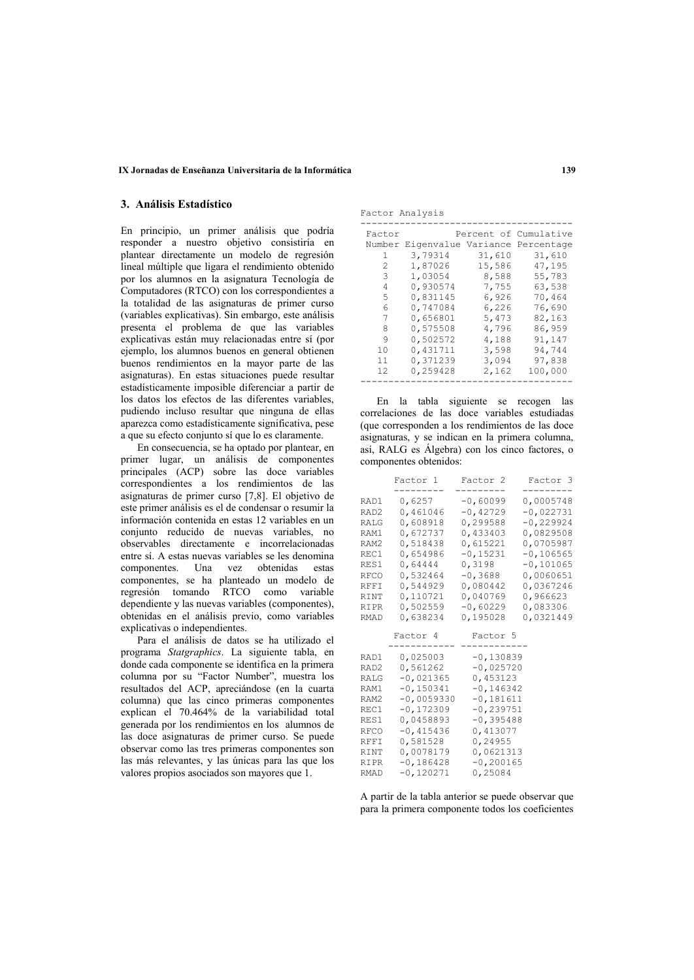### IX Jornadas de Enseñanza Universitaria de la Informática

## 3. Análisis Estadístico

En principio, un primer análisis que podría responder a nuestro objetivo consistiría en plantear directamente un modelo de regresión lineal múltiple que ligara el rendimiento obtenido por los alumnos en la asignatura Tecnología de Computadores (RTCO) con los correspondientes a la totalidad de las asignaturas de primer curso (variables explicativas). Sin embargo, este análisis presenta el problema de que las variables explicativas están muy relacionadas entre sí (por ejemplo, los alumnos buenos en general obtienen buenos rendimientos en la mayor parte de las asignaturas). En estas situaciones puede resultar estadísticamente imposible diferenciar a partir de los datos los efectos de las diferentes variables. pudiendo incluso resultar que ninguna de ellas aparezca como estadísticamente significativa, pese a que su efecto conjunto sí que lo es claramente.

En consecuencia, se ha optado por plantear, en primer lugar, un análisis de componentes principales (ACP) sobre las doce variables correspondientes a los rendimientos de las asignaturas de primer curso [7,8]. El objetivo de este primer análisis es el de condensar o resumir la información contenida en estas 12 variables en un conjunto reducido de nuevas variables, no observables directamente e incorrelacionadas entre sí. A estas nuevas variables se les denomina componentes. Una vez obtenidas estas componentes, se ha planteado un modelo de regresión tomando RTCO como variable dependiente y las nuevas variables (componentes), obtenidas en el análisis previo, como variables explicativas o independientes.

Para el análisis de datos se ha utilizado el programa Statgraphics. La siguiente tabla, en donde cada componente se identifica en la primera columna por su "Factor Number", muestra los resultados del ACP, apreciándose (en la cuarta columna) que las cinco primeras componentes explican el 70.464% de la variabilidad total generada por los rendimientos en los alumnos de las doce asignaturas de primer curso. Se puede observar como las tres primeras componentes son las más relevantes, y las únicas para las que los valores propios asociados son mayores que 1.

Factor Analysis

| Factor |                                       |        | Percent of Cumulative |
|--------|---------------------------------------|--------|-----------------------|
|        | Number Eigenvalue Variance Percentage |        |                       |
| 1.     | 3,79314                               | 31,610 | 31,610                |
| 2      | 1,87026                               | 15,586 | 47,195                |
| 3      | 1,03054                               | 8,588  | 55,783                |
| 4      | 0,930574                              | 7,755  | 63,538                |
| 5      | 0,831145                              | 6,926  | 70,464                |
| 6      | 0,747084                              | 6,226  | 76,690                |
| 7      | 0,656801                              | 5,473  | 82,163                |
| 8      | 0,575508                              | 4,796  | 86,959                |
| 9      | 0,502572                              | 4,188  | 91,147                |
| 10     | 0,431711                              | 3,598  | 94,744                |
| 11     | 0,371239                              | 3,094  | 97,838                |
| 12     | 0,259428                              | 2,162  | 100,000               |
|        |                                       |        |                       |

En la tabla siguiente se recogen las correlaciones de las doce variables estudiadas (que corresponden a los rendimientos de las doce asignaturas, y se indican en la primera columna, así, RALG es Álgebra) con los cinco factores, o componentes obtenidos:

|      | Factor 1     | Factor <sub>2</sub> | Factor 3               |
|------|--------------|---------------------|------------------------|
| RAD1 | 0,6257       | $-0,60099$          | ---------<br>0,0005748 |
| RAD2 | 0,461046     | $-0,42729$          | $-0,022731$            |
| RALG | 0,608918     | 0,299588            | $-0,229924$            |
| RAM1 | 0,672737     | 0,433403            | 0,0829508              |
| RAM2 | 0,518438     | 0,615221            | 0,0705987              |
| REC1 | 0,654986     | $-0,15231$          | $-0,106565$            |
| RES1 | 0,64444      | 0,3198              | $-0,101065$            |
| RFCO | 0,532464     | $-0,3688$           | 0,0060651              |
| RFFI | 0,544929     | 0,080442            | 0,0367246              |
| RINT | 0,110721     | 0,040769            | 0,966623               |
| RIPR | 0,502559     | $-0,60229$          | 0,083306               |
| RMAD | 0,638234     | 0,195028            | 0,0321449              |
|      | Factor 4     | Factor 5            |                        |
|      |              |                     |                        |
| RAD1 | 0,025003     | $-0,130839$         |                        |
| RAD2 | 0,561262     | $-0,025720$         |                        |
| RALG | $-0,021365$  | 0,453123            |                        |
| RAM1 | $-0,150341$  | $-0,146342$         |                        |
| RAM2 | $-0,0059330$ | $-0,181611$         |                        |
| REC1 | $-0,172309$  | $-0, 239751$        |                        |
| RES1 | 0,0458893    | $-0,395488$         |                        |
| RFCO | $-0,415436$  | 0,413077            |                        |
| RFFI | 0,581528     | 0,24955             |                        |
| RINT | 0,0078179    | 0,0621313           |                        |
| RIPR | $-0,186428$  | $-0, 200165$        |                        |
| RMAD | $-0,120271$  | 0,25084             |                        |

A partir de la tabla anterior se puede observar que para la primera componente todos los coeficientes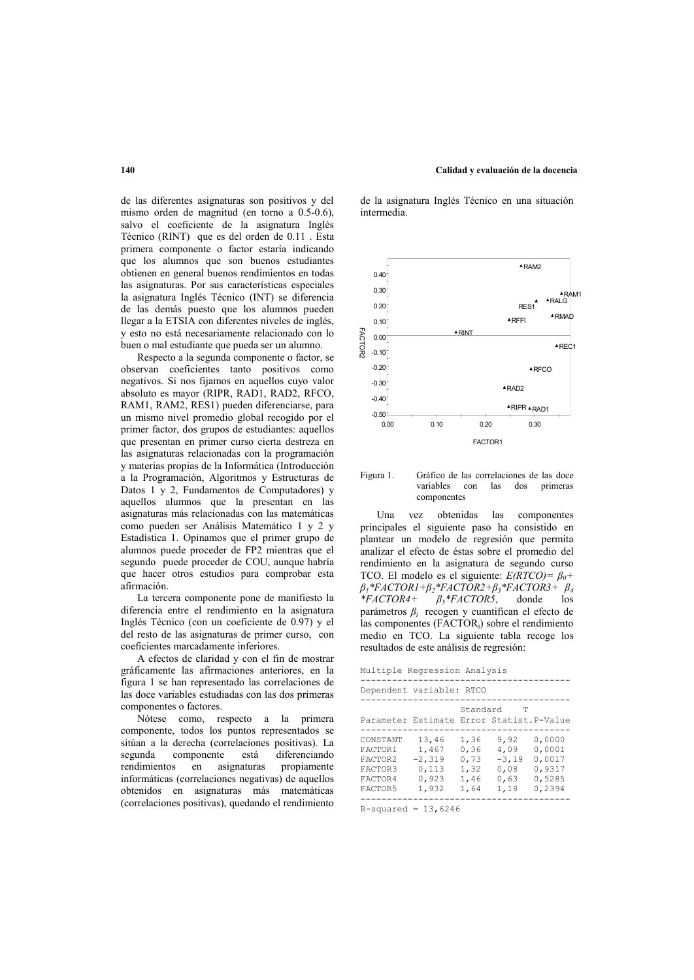# de las diferentes asignaturas son positivos y del mismo orden de magnitud (en torno a  $0.5-0.6$ ), salvo el coeficiente de la asignatura Inglés

Técnico (RINT) que es del orden de 0.11. Esta primera componente o factor estaría indicando que los alumnos que son buenos estudiantes obtienen en general buenos rendimientos en todas las asignaturas. Por sus características especiales la asignatura Inglés Técnico (INT) se diferencia de las demás puesto que los alumnos pueden llegar a la ETSIA con diferentes niveles de inglés. y esto no está necesariamente relacionado con lo buen o mal estudiante que pueda ser un alumno.

Respecto a la segunda componente o factor, se observan coeficientes tanto positivos como negativos. Si nos fijamos en aquellos cuyo valor absoluto es mayor (RIPR, RAD1, RAD2, RFCO, RAM1, RAM2, RES1) pueden diferenciarse, para un mismo nivel promedio global recogido por el primer factor, dos grupos de estudiantes: aquellos que presentan en primer curso cierta destreza en las asignaturas relacionadas con la programación y materias propias de la Informática (Introducción a la Programación, Algoritmos y Estructuras de Datos 1 y 2, Fundamentos de Computadores) y aquellos alumnos que la presentan en las asignaturas más relacionadas con las matemáticas como pueden ser Análisis Matemático 1 y 2 y Estadística 1. Opinamos que el primer grupo de alumnos puede proceder de FP2 mientras que el segundo puede proceder de COU, aunque habría que hacer otros estudios para comprobar esta afirmación.

La tercera componente pone de manifiesto la diferencia entre el rendimiento en la asignatura Inglés Técnico (con un coeficiente de 0.97) y el del resto de las asignaturas de primer curso, con coeficientes marcadamente inferiores.

A efectos de claridad y con el fin de mostrar gráficamente las afirmaciones anteriores, en la figura 1 se han representado las correlaciones de las doce variables estudiadas con las dos primeras componentes o factores.

Nótese como, respecto a la primera componente, todos los puntos representados se sitúan a la derecha (correlaciones positivas). La segunda componente está diferenciando propiamente rendimientos en asignaturas informáticas (correlaciones negativas) de aquellos obtenidos en asignaturas más matemáticas (correlaciones positivas), quedando el rendimiento

de la asignatura Inglés Técnico en una situación intermedia.

Calidad y evaluación de la docencia



Gráfico de las correlaciones de las doce Figura 1. variables con las dos primeras componentes

I Ina vez obtenidas las componentes principales el siguiente paso ha consistido en plantear un modelo de regresión que permita analizar el efecto de éstas sobre el promedio del rendimiento en la asignatura de segundo curso TCO. El modelo es el siguiente:  $E(RTCO) = \beta_0 +$  $\beta_1$ \*FACTOR1+ $\beta_2$ \*FACTOR2+ $\beta_3$ \*FACTOR3+  $\beta_4$  $*FACTOR4+$  $\beta_5$ \*FACTOR5. donde  $\log$ parámetros  $\beta_i$  recogen y cuantifican el efecto de las componentes (FACTOR;) sobre el rendimiento medio en TCO. La siguiente tabla recoge los resultados de este análisis de regresión:

Multiple Regression Analysis

| Dependent variable: RTCO                                        |                                                       |                                              |                                                 |                                                          |
|-----------------------------------------------------------------|-------------------------------------------------------|----------------------------------------------|-------------------------------------------------|----------------------------------------------------------|
| Parameter Estimate Error Statist. P-Value                       |                                                       | Standard                                     | T                                               |                                                          |
| CONSTANT<br>FACTOR1<br>FACTOR2<br>FACTOR3<br>FACTOR4<br>FACTOR5 | 13,46<br>1,467<br>$-2,319$<br>0.113<br>0.923<br>1,932 | 1,36<br>0.36<br>0.73<br>1,32<br>1,46<br>1,64 | 9,92<br>4,09<br>$-3,19$<br>0.08<br>0.63<br>1,18 | 0.0000<br>0.0001<br>0.0017<br>0,9317<br>0.5285<br>0,2394 |
|                                                                 |                                                       |                                              |                                                 |                                                          |

 $R$ -squared = 13,6246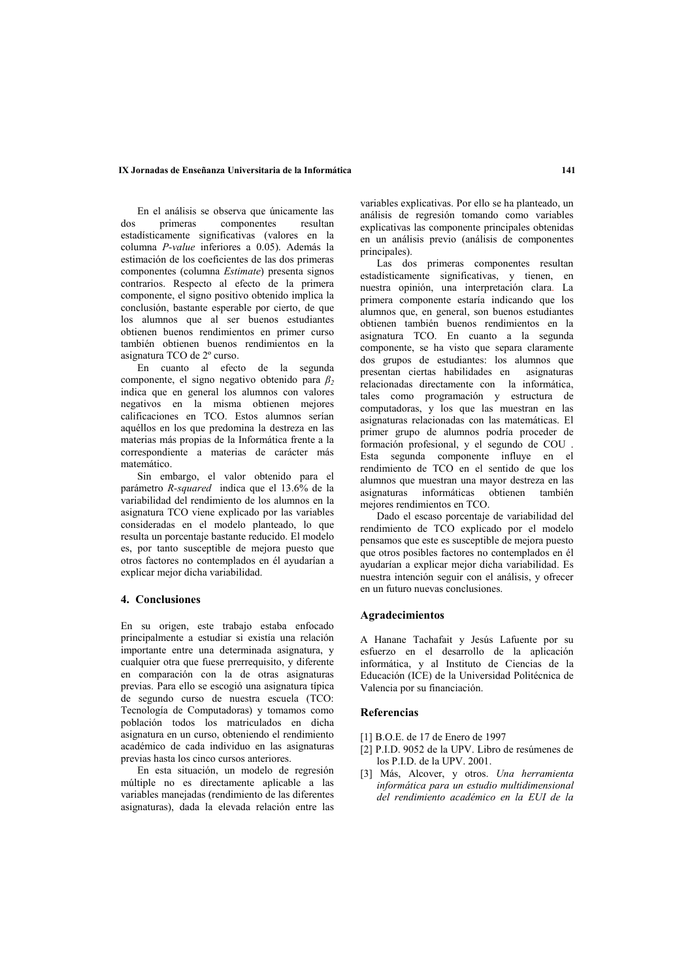### IX Jornadas de Enseñanza Universitaria de la Informática

En el análisis se observa que únicamente las  $d$ os primeras componentes resultan estadísticamente significativas (valores en la columna P-value inferiores a 0.05). Además la estimación de los coeficientes de las dos primeras componentes (columna *Estimate*) presenta signos contrarios. Respecto al efecto de la primera componente, el signo positivo obtenido implica la conclusión, bastante esperable por cierto, de que los alumnos que al ser buenos estudiantes obtienen buenos rendimientos en primer curso también obtienen buenos rendimientos en la asignatura TCO de 2º curso.

En cuanto al efecto de la segunda componente el signo negativo obtenido para  $\beta_2$ indica que en general los alumnos con valores negativos en la misma obtienen mejores calificaciones en TCO. Estos alumnos serían aquéllos en los que predomina la destreza en las materias más propias de la Informática frente a la correspondiente a materias de carácter más matemático.

Sin embargo, el valor obtenido para el parámetro R-squared indica que el 13.6% de la variabilidad del rendimiento de los alumnos en la asignatura TCO viene explicado por las variables consideradas en el modelo planteado, lo que resulta un porcentaje bastante reducido. El modelo es, por tanto susceptible de mejora puesto que otros factores no contemplados en él ayudarían a explicar meior dicha variabilidad.

### 4. Conclusiones

En su origen, este trabajo estaba enfocado principalmente a estudiar si existía una relación importante entre una determinada asignatura, y cualquier otra que fuese prerrequisito, y diferente en comparación con la de otras asignaturas previas. Para ello se escogió una asignatura típica de segundo curso de nuestra escuela (TCO: Tecnología de Computadoras) y tomamos como población todos los matriculados en dicha asignatura en un curso, obteniendo el rendimiento académico de cada individuo en las asignaturas previas hasta los cinco cursos anteriores.

En esta situación, un modelo de regresión múltiple no es directamente aplicable a las variables manejadas (rendimiento de las diferentes asignaturas), dada la elevada relación entre las

variables explicativas. Por ello se ha planteado, un análisis de regresión tomando como variables explicativas las componente principales obtenidas en un análisis previo (análisis de componentes principales).

Las dos primeras componentes resultan estadísticamente significativas, y tienen, en nuestra opinión, una interpretación clara. La primera componente estaría indicando que los alumnos que, en general, son buenos estudiantes obtienen también buenos rendimientos en la asignatura TCO. En cuanto a la segunda componente, se ha visto que separa claramente dos grupos de estudiantes: los alumnos que presentan ciertas habilidades en asignaturas relacionadas directamente con la informática, tales como programación y estructura de computadoras, y los que las muestran en las asignaturas relacionadas con las matemáticas. El primer grupo de alumnos podría proceder de formación profesional, y el segundo de COU. Esta segunda componente influye en el rendimiento de TCO en el sentido de que los alumnos que muestran una mayor destreza en las asignaturas informáticas obtienen también mejores rendimientos en TCO.

Dado el escaso porcentaje de variabilidad del rendimiento de TCO explicado por el modelo pensamos que este es susceptible de mejora puesto que otros posibles factores no contemplados en él avudarían a explicar mejor dicha variabilidad. Es nuestra intención seguir con el análisis, y ofrecer en un futuro nuevas conclusiones.

## **Agradecimientos**

A Hanane Tachafait y Jesús Lafuente por su esfuerzo en el desarrollo de la aplicación informática, y al Instituto de Ciencias de la Educación (ICE) de la Universidad Politécnica de Valencia por su financiación.

### **Referencias**

- [1] B.O.E. de 17 de Enero de 1997
- [2] P.I.D. 9052 de la UPV. Libro de resúmenes de los P.I.D. de la UPV. 2001.
- [3] Más, Alcover, y otros. Una herramienta informática para un estudio multidimensional del rendimiento académico en la EUI de la